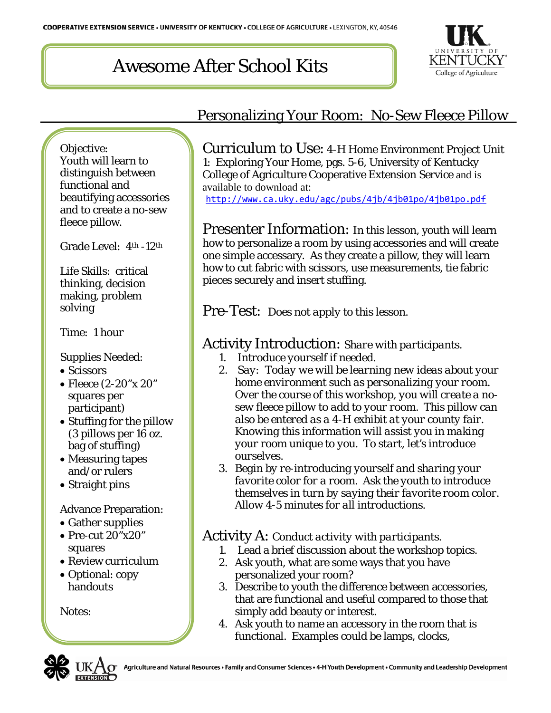# Awesome After School Kits



#### Objective: Youth will learn to distinguish between functional and beautifying accessories and to create a no-sew fleece pillow.

Grade Level: 4th -12th

Life Skills: critical thinking, decision making, problem solving

Time: 1 hour

### Supplies Needed:

- Scissors
- Fleece (2-20"x 20" squares per participant)
- Stuffing for the pillow (3 pillows per 16 oz. bag of stuffing)
- Measuring tapes and/or rulers
- Straight pins

### Advance Preparation:

- Gather supplies
- Pre-cut 20"x20" squares
- Review curriculum
- Optional: copy handouts

Notes:

## Personalizing Your Room: No-Sew Fleece Pillow

Curriculum to Use: 4-H Home Environment Project Unit 1: Exploring Your Home, pgs. 5-6, University of Kentucky College of Agriculture Cooperative Extension Service and is available to download at: <http://www.ca.uky.edu/agc/pubs/4jb/4jb01po/4jb01po.pdf>

Presenter Information: In this lesson, youth will learn how to personalize a room by using accessories and will create one simple accessary. As they create a pillow, they will learn how to cut fabric with scissors, use measurements, tie fabric pieces securely and insert stuffing.

Pre-Test: *Does not apply to this lesson.*

## Activity Introduction: *Share with participants.*

- *1. Introduce yourself if needed.*
- *2. Say: Today we will be learning new ideas about your home environment such as personalizing your room. Over the course of this workshop, you will create a nosew fleece pillow to add to your room. This pillow can also be entered as a 4-H exhibit at your county fair. Knowing this information will assist you in making your room unique to you. To start, let's introduce ourselves.*
- *3. Begin by re-introducing yourself and sharing your favorite color for a room. Ask the youth to introduce themselves in turn by saying their favorite room color. Allow 4-5 minutes for all introductions.*

### Activity A: *Conduct activity with participants.*

- 1. Lead a brief discussion about the workshop topics.
- 2. Ask youth, what are some ways that you have personalized your room?
- 3. Describe to youth the difference between accessories, that are functional and useful compared to those that simply add beauty or interest.
- 4. Ask youth to name an accessory in the room that is functional. Examples could be lamps, clocks,

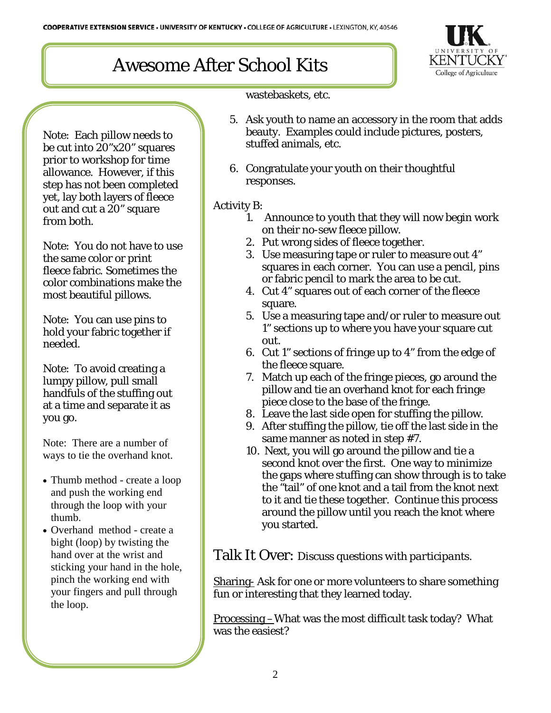# Awesome After School Kits



wastebaskets, etc.

- 5. Ask youth to name an accessory in the room that adds beauty. Examples could include pictures, posters, stuffed animals, etc.
	- 6. Congratulate your youth on their thoughtful responses.

#### Activity B:

- 1. Announce to youth that they will now begin work on their no-sew fleece pillow.
- 2. Put wrong sides of fleece together.
- 3. Use measuring tape or ruler to measure out 4" squares in each corner. You can use a pencil, pins or fabric pencil to mark the area to be cut.
- 4. Cut 4" squares out of each corner of the fleece square.
- 5. Use a measuring tape and/or ruler to measure out 1" sections up to where you have your square cut out.
- 6. Cut 1" sections of fringe up to 4" from the edge of the fleece square.
- 7. Match up each of the fringe pieces, go around the pillow and tie an overhand knot for each fringe piece close to the base of the fringe.
- 8. Leave the last side open for stuffing the pillow.
- 9. After stuffing the pillow, tie off the last side in the same manner as noted in step #7.
- 10. Next, you will go around the pillow and tie a second knot over the first. One way to minimize the gaps where stuffing can show through is to take the "tail" of one knot and a tail from the knot next to it and tie these together. Continue this process around the pillow until you reach the knot where you started.

Talk It Over: *Discuss questions with participants.*

Sharing- Ask for one or more volunteers to share something fun or interesting that they learned today.

Processing –What was the most difficult task today? What was the easiest?

Note: Each pillow needs to be cut into 20"x20" squares prior to workshop for time allowance. However, if this step has not been completed yet, lay both layers of fleece out and cut a 20" square from both.

Note: You do not have to use the same color or print fleece fabric. Sometimes the color combinations make the most beautiful pillows.

Note: You can use pins to hold your fabric together if needed.

Note: To avoid creating a lumpy pillow, pull small handfuls of the stuffing out at a time and separate it as you go.

Note: There are a number of ways to tie the overhand knot.

- Thumb method create a loop and push the working end through the loop with your thumb.
- Overhand method create a bight (loop) by twisting the hand over at the wrist and sticking your hand in the hole, pinch the working end with your fingers and pull through the loop.